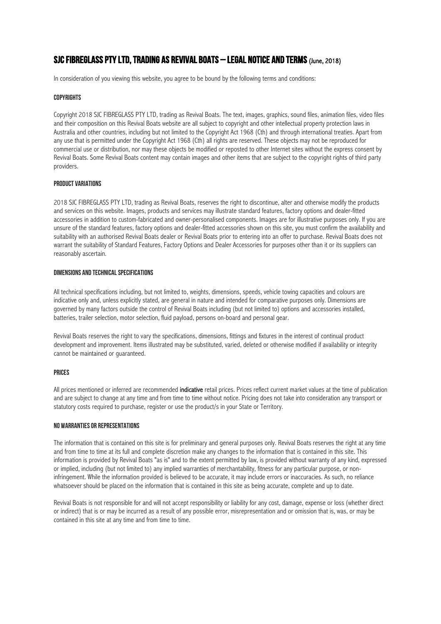# SJC FIBREGLASS PTY LTD, TRADING AS REVIVAL BOATS – LEGAL NOTICE AND TERMS (June, 2018)

In consideration of you viewing this website, you agree to be bound by the following terms and conditions:

#### **COPYRIGHTS**

Copyright 2018 SJC FIBREGLASS PTY LTD, trading as Revival Boats. The text, images, graphics, sound files, animation files, video files and their composition on this Revival Boats website are all subject to copyright and other intellectual property protection laws in Australia and other countries, including but not limited to the Copyright Act 1968 (Cth) and through international treaties. Apart from any use that is permitted under the Copyright Act 1968 (Cth) all rights are reserved. These objects may not be reproduced for commercial use or distribution, nor may these objects be modified or reposted to other Internet sites without the express consent by Revival Boats. Some Revival Boats content may contain images and other items that are subject to the copyright rights of third party providers.

### PRODUCT VARIATIONS

2018 SJC FIBREGLASS PTY LTD, trading as Revival Boats, reserves the right to discontinue, alter and otherwise modify the products and services on this website. Images, products and services may illustrate standard features, factory options and dealer-fitted accessories in addition to custom-fabricated and owner-personalised components. Images are for illustrative purposes only. If you are unsure of the standard features, factory options and dealer-fitted accessories shown on this site, you must confirm the availability and suitability with an authorised Revival Boats dealer or Revival Boats prior to entering into an offer to purchase. Revival Boats does not warrant the suitability of Standard Features, Factory Options and Dealer Accessories for purposes other than it or its suppliers can reasonably ascertain.

#### DIMENSIONS AND TECHNICAL SPECIFICATIONS

All technical specifications including, but not limited to, weights, dimensions, speeds, vehicle towing capacities and colours are indicative only and, unless explicitly stated, are general in nature and intended for comparative purposes only. Dimensions are governed by many factors outside the control of Revival Boats including (but not limited to) options and accessories installed, batteries, trailer selection, motor selection, fluid payload, persons on-board and personal gear.

Revival Boats reserves the right to vary the specifications, dimensions, fittings and fixtures in the interest of continual product development and improvement. Items illustrated may be substituted, varied, deleted or otherwise modified if availability or integrity cannot be maintained or guaranteed.

#### PRICES

All prices mentioned or inferred are recommended indicative retail prices. Prices reflect current market values at the time of publication and are subject to change at any time and from time to time without notice. Pricing does not take into consideration any transport or statutory costs required to purchase, register or use the product/s in your State or Territory.

#### NO WARRANTIES OR REPRESENTATIONS

The information that is contained on this site is for preliminary and general purposes only. Revival Boats reserves the right at any time and from time to time at its full and complete discretion make any changes to the information that is contained in this site. This information is provided by Revival Boats "as is" and to the extent permitted by law, is provided without warranty of any kind, expressed or implied, including (but not limited to) any implied warranties of merchantability, fitness for any particular purpose, or noninfringement. While the information provided is believed to be accurate, it may include errors or inaccuracies. As such, no reliance whatsoever should be placed on the information that is contained in this site as being accurate, complete and up to date.

Revival Boats is not responsible for and will not accept responsibility or liability for any cost, damage, expense or loss (whether direct or indirect) that is or may be incurred as a result of any possible error, misrepresentation and or omission that is, was, or may be contained in this site at any time and from time to time.